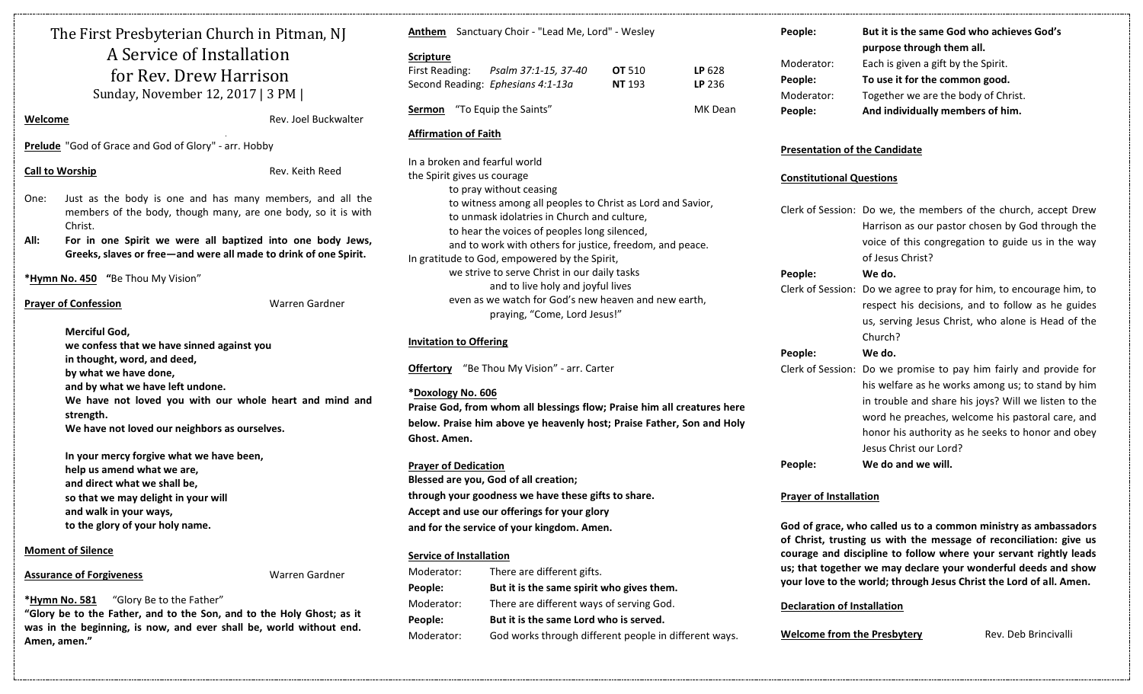| The First Presbyterian Church in Pitman, NJ                                                    |                                                                                                                                                                                                                                                                                                                                                            |                                                                                                                                             | Anthem Sanctuary Choir - "Lead Me, Lord" - Wesley                                                                                                                                                                                     |                                                                      |                                |
|------------------------------------------------------------------------------------------------|------------------------------------------------------------------------------------------------------------------------------------------------------------------------------------------------------------------------------------------------------------------------------------------------------------------------------------------------------------|---------------------------------------------------------------------------------------------------------------------------------------------|---------------------------------------------------------------------------------------------------------------------------------------------------------------------------------------------------------------------------------------|----------------------------------------------------------------------|--------------------------------|
|                                                                                                | A Service of Installation<br>for Rev. Drew Harrison<br>Sunday, November 12, 2017   3 PM                                                                                                                                                                                                                                                                    |                                                                                                                                             | <b>Scripture</b><br>First Reading:                                                                                                                                                                                                    | Psalm 37:1-15, 37-40<br>Second Reading: Ephesians 4:1-13a            | <b>OT 510</b><br><b>NT 193</b> |
| Rev. Joel Buckwalter<br><b>Welcome</b><br>Prelude "God of Grace and God of Glory" - arr. Hobby |                                                                                                                                                                                                                                                                                                                                                            |                                                                                                                                             |                                                                                                                                                                                                                                       | Sermon "To Equip the Saints"                                         |                                |
|                                                                                                |                                                                                                                                                                                                                                                                                                                                                            |                                                                                                                                             | <b>Affirmation of Faith</b>                                                                                                                                                                                                           |                                                                      |                                |
| <b>Call to Worship</b>                                                                         |                                                                                                                                                                                                                                                                                                                                                            | Rev. Keith Reed                                                                                                                             | the Spirit gives us courage                                                                                                                                                                                                           | In a broken and fearful world                                        |                                |
| One:                                                                                           | Just as the body is one and has many members, and all the<br>members of the body, though many, are one body, so it is with<br>Christ.                                                                                                                                                                                                                      |                                                                                                                                             | to pray without ceasing<br>to witness among all peoples to Christ as Lord<br>to unmask idolatries in Church and culture,<br>to hear the voices of peoples long silenced,                                                              |                                                                      |                                |
| All:                                                                                           | For in one Spirit we were all baptized into one body Jews,<br>Greeks, slaves or free-and were all made to drink of one Spirit.                                                                                                                                                                                                                             |                                                                                                                                             | and to work with others for justice, freedom,<br>In gratitude to God, empowered by the Spirit,                                                                                                                                        |                                                                      |                                |
| *Hymn No. 450 "Be Thou My Vision"                                                              |                                                                                                                                                                                                                                                                                                                                                            |                                                                                                                                             | we strive to serve Christ in our daily tasks<br>and to live holy and joyful lives                                                                                                                                                     |                                                                      |                                |
| <b>Prayer of Confession</b><br>Warren Gardner                                                  |                                                                                                                                                                                                                                                                                                                                                            |                                                                                                                                             | even as we watch for God's new heaven and<br>praying, "Come, Lord Jesus!"                                                                                                                                                             |                                                                      |                                |
|                                                                                                | Merciful God,<br>we confess that we have sinned against you<br>in thought, word, and deed,<br>by what we have done,<br>and by what we have left undone.<br>We have not loved you with our whole heart and mind and<br>strength.<br>We have not loved our neighbors as ourselves.<br>In your mercy forgive what we have been,<br>help us amend what we are, |                                                                                                                                             | <b>Invitation to Offering</b>                                                                                                                                                                                                         |                                                                      |                                |
|                                                                                                |                                                                                                                                                                                                                                                                                                                                                            |                                                                                                                                             | <b>Offertory</b> "Be Thou My Vision" - arr. Carter<br>*Doxology No. 606<br>Praise God, from whom all blessings flow; Praise hin<br>below. Praise him above ye heavenly host; Praise Fa<br>Ghost. Amen.<br><b>Prayer of Dedication</b> |                                                                      |                                |
|                                                                                                |                                                                                                                                                                                                                                                                                                                                                            |                                                                                                                                             |                                                                                                                                                                                                                                       |                                                                      |                                |
| and direct what we shall be,<br>so that we may delight in your will<br>and walk in your ways,  |                                                                                                                                                                                                                                                                                                                                                            | Blessed are you, God of all creation;<br>through your goodness we have these gifts to share.<br>Accept and use our offerings for your glory |                                                                                                                                                                                                                                       |                                                                      |                                |
|                                                                                                | to the glory of your holy name.                                                                                                                                                                                                                                                                                                                            |                                                                                                                                             |                                                                                                                                                                                                                                       | and for the service of your kingdom. Amen.                           |                                |
| <b>Moment of Silence</b>                                                                       |                                                                                                                                                                                                                                                                                                                                                            |                                                                                                                                             | <b>Service of Installation</b>                                                                                                                                                                                                        |                                                                      |                                |
|                                                                                                | <b>Assurance of Forgiveness</b><br>$\mu = \mu$                                                                                                                                                                                                                                                                                                             | Warren Gardner                                                                                                                              | Moderator:<br>People:                                                                                                                                                                                                                 | There are different gifts.<br>But it is the same spirit who gives tl |                                |
|                                                                                                |                                                                                                                                                                                                                                                                                                                                                            |                                                                                                                                             |                                                                                                                                                                                                                                       |                                                                      |                                |

### **\*Hymn No. 581** "Glory Be to the Father"

**"Glory be to the Father, and to the Son, and to the Holy Ghost; as it was in the beginning, is now, and ever shall be, world without end. Amen, amen."**

|                                     | First Reading: Psalm 37:1-15, 37-40                        | <b>OT 510</b> | LP 628  |
|-------------------------------------|------------------------------------------------------------|---------------|---------|
|                                     | Second Reading: Ephesians 4:1-13a                          | <b>NT</b> 193 | LP 236  |
| <b>Sermon</b> "To Equip the Saints" |                                                            |               | MK Dean |
| <b>Affirmation of Faith</b>         |                                                            |               |         |
| In a broken and fearful world       |                                                            |               |         |
| the Spirit gives us courage         |                                                            |               |         |
|                                     | to pray without ceasing                                    |               |         |
|                                     | to witness among all peoples to Christ as Lord and Savior, |               |         |
|                                     | to unmask idolatries in Church and culture,                |               |         |
|                                     | to hear the voices of peoples long silenced,               |               |         |
|                                     | and to work with others for justice, freedom, and peace.   |               |         |
|                                     | In gratitude to God, empowered by the Spirit,              |               |         |
|                                     | we strive to serve Christ in our daily tasks               |               |         |
|                                     | and to live holy and joyful lives                          |               |         |
|                                     | even as we watch for God's new heaven and new earth,       |               |         |
|                                     | praying, "Come, Lord Jesus!"                               |               |         |

# **Invitation to Offering**

# **\*Doxology No. 606**

**Praise God, from whom all blessings flow; Praise him all creatures here below. Praise him above ye heavenly host; Praise Father, Son and Holy Ghost. Amen.**

## **Prayer of Dedication**

# **Service of Installation**

| Moderator: | There are different gifts.                            |
|------------|-------------------------------------------------------|
| People:    | But it is the same spirit who gives them.             |
| Moderator: | There are different ways of serving God.              |
| People:    | But it is the same Lord who is served.                |
| Moderator: | God works through different people in different ways. |

| People:    | But it is the same God who achieves God's |  |
|------------|-------------------------------------------|--|
|            | purpose through them all.                 |  |
| Moderator: | Each is given a gift by the Spirit.       |  |
| People:    | To use it for the common good.            |  |
| Moderator: | Together we are the body of Christ.       |  |
| People:    | And individually members of him.          |  |

# **Presentation of the Candidate**

# **Constitutional Questions**

|         | Clerk of Session: Do we, the members of the church, accept Drew     |
|---------|---------------------------------------------------------------------|
|         | Harrison as our pastor chosen by God through the                    |
|         | voice of this congregation to guide us in the way                   |
|         | of Jesus Christ?                                                    |
| People: | We do.                                                              |
|         | Clerk of Session: Do we agree to pray for him, to encourage him, to |
|         | respect his decisions, and to follow as he guides                   |
|         | us, serving Jesus Christ, who alone is Head of the                  |
|         | Church?                                                             |
|         |                                                                     |
| People: | We do.                                                              |
|         | Clerk of Session: Do we promise to pay him fairly and provide for   |
|         | his welfare as he works among us; to stand by him                   |
|         | in trouble and share his joys? Will we listen to the                |
|         | word he preaches, welcome his pastoral care, and                    |
|         | honor his authority as he seeks to honor and obey                   |
|         | Jesus Christ our Lord?                                              |
| People: | We do and we will.                                                  |

# **Prayer of Installation**

**God of grace, who called us to a common ministry as ambassadors of Christ, trusting us with the message of reconciliation: give us courage and discipline to follow where your servant rightly leads us; that together we may declare your wonderful deeds and show your love to the world; through Jesus Christ the Lord of all. Amen.**

# **Declaration of Installation**

**Welcome from the Presbytery** Rev. Deb Brincivalli